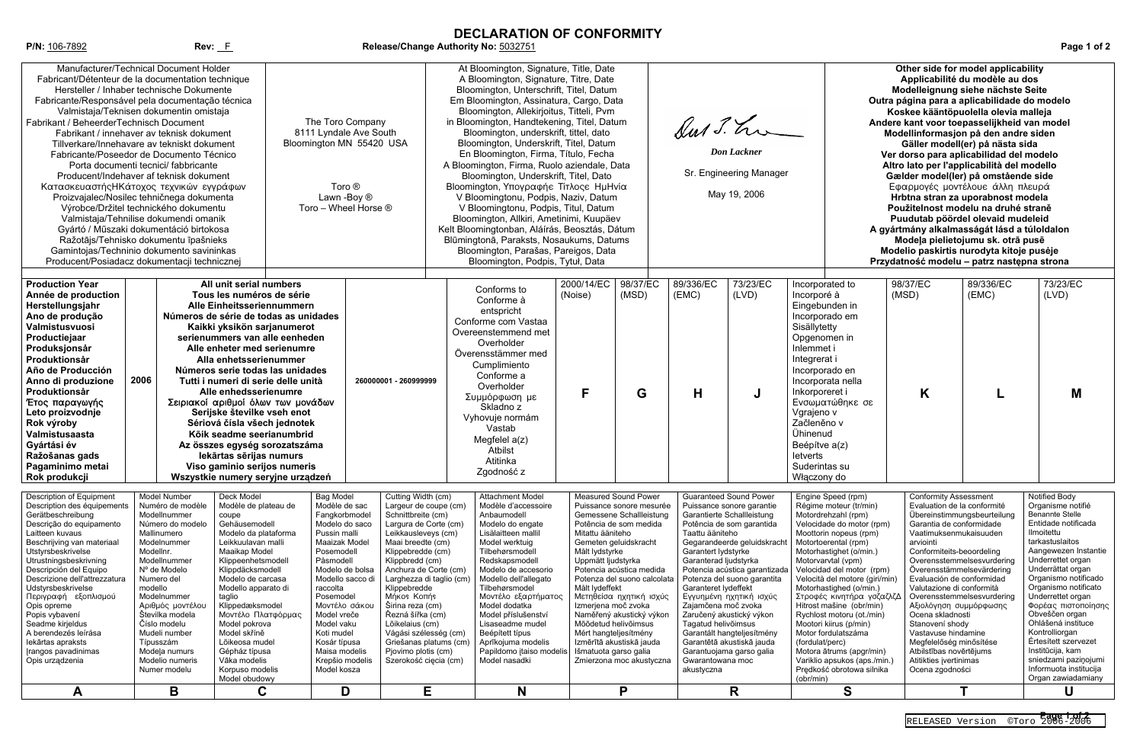## **DECLARATION OF CONFORMITY**

**P/N:** 106-7892 **Rev:** F **Release/Change Authority No:** 5032751 **Page 1 of 2**

| Manufacturer/Technical Document Holder<br>Fabricant/Détenteur de la documentation technique<br>Hersteller / Inhaber technische Dokumente<br>Fabricante/Responsável pela documentação técnica<br>Valmistaja/Teknisen dokumentin omistaja<br>Fabrikant / BeheerderTechnisch Document<br>Fabrikant / innehaver av teknisk dokument<br>Tillverkare/Innehavare av tekniskt dokument<br>Fabricante/Poseedor de Documento Técnico<br>Porta documenti tecnici/ fabbricante<br>Producent/Indehaver af teknisk dokument<br>Κατασκευαστής ΗΚάτοχος τεχνικών εγγράφων<br>Proizvajalec/Nosilec tehničnega dokumenta<br>Výrobce/Držitel technického dokumentu<br>Valmistaja/Tehnilise dokumendi omanik<br>Gyártó / Műszaki dokumentáció birtokosa<br>Ražotājs/Tehnisko dokumentu īpašnieks<br>Gamintojas/Techninio dokumento savininkas<br>Producent/Posiadacz dokumentacji technicznej |                                                                                                                                                                                                                                                                                                                                       |                                                                                                                                                                                                                                                                                                                                                                                                                                                                                                                                                                                                                              | The Toro Company<br>8111 Lyndale Ave South<br>Bloomington MN 55420 USA<br>Toro ®<br>Lawn -Boy ®<br>Toro - Wheel Horse ®                                                                                                                                                                                                              |                                                                                                                                                                                                                                                                                                                                                                                                                                              | At Bloomington, Signature, Title, Date<br>A Bloomington, Signature, Titre, Date<br>Bloomington, Unterschrift, Titel, Datum<br>Em Bloomington, Assinatura, Cargo, Data<br>Bloomington, Allekirjoitus, Titteli, Pvm<br>in Bloomington, Handtekening, Titel, Datum<br>Bloomington, underskrift, tittel, dato<br>Bloomington, Underskrift, Titel, Datum<br>En Bloomington, Firma, Título, Fecha<br>A Bloomington, Firma, Ruolo aziendale, Data<br>Bloomington, Underskrift, Titel, Dato<br>Bloomington, Υπογραφήε Τίτλος ΗμΗνία<br>V Bloomingtonu, Podpis, Naziv, Datum<br>V Bloomingtonu, Podpis, Titul, Datum<br>Bloomington, Allkiri, Ametinimi, Kuupäev<br>Kelt Bloomingtonban, Aláírás, Beosztás, Dátum<br>Blūmingtonā, Paraksts, Nosaukums, Datums<br>Bloomington, Parašas, Pareigos, Data<br>Bloomington, Podpis, Tytuł, Data |                                                                                                                                                                                                      |                                                                                                                                                                                                                                                                                              | Sur J. hr<br><b>Don</b> Lackner<br>Sr. Engineering Manager<br>May 19, 2006                                                                                                                                                                                                                                                                                                                                                                                                                                                                         |                                                                                                                                                                                                                                                                                                                                                                                                                                                                                                                                                                    | Other side for model applicability<br>Applicabilité du modèle au dos<br>Modelleignung siehe nächste Seite<br>Outra página para a aplicabilidade do modelo<br>Koskee kääntöpuolella olevia malleja<br>Andere kant voor toepasselijkheid van model<br>Modellinformasjon på den andre siden<br>Gäller modell(er) på nästa sida<br>Ver dorso para aplicabilidad del modelo<br>Altro lato per l'applicabilità del modello<br>Gælder model(ler) på omstående side<br>Εφαρμογές μοντέλουε άλλη πλευρά<br>Hrbtna stran za uporabnost modela<br>Použitelnost modelu na druhé straně<br>Puudutab pöördel olevaid mudeleid<br>A gyártmány alkalmasságát lásd a túloldalon<br>Modeļa pielietojumu sk. otrā pusē<br>Modelio paskirtis nurodyta kitoje pusėje<br>Przydatność modelu - patrz następna strona |                                                                                         |                                                                                                                                                                                                                                                                                                                                                                                                                                                                       |  |
|---------------------------------------------------------------------------------------------------------------------------------------------------------------------------------------------------------------------------------------------------------------------------------------------------------------------------------------------------------------------------------------------------------------------------------------------------------------------------------------------------------------------------------------------------------------------------------------------------------------------------------------------------------------------------------------------------------------------------------------------------------------------------------------------------------------------------------------------------------------------------|---------------------------------------------------------------------------------------------------------------------------------------------------------------------------------------------------------------------------------------------------------------------------------------------------------------------------------------|------------------------------------------------------------------------------------------------------------------------------------------------------------------------------------------------------------------------------------------------------------------------------------------------------------------------------------------------------------------------------------------------------------------------------------------------------------------------------------------------------------------------------------------------------------------------------------------------------------------------------|--------------------------------------------------------------------------------------------------------------------------------------------------------------------------------------------------------------------------------------------------------------------------------------------------------------------------------------|----------------------------------------------------------------------------------------------------------------------------------------------------------------------------------------------------------------------------------------------------------------------------------------------------------------------------------------------------------------------------------------------------------------------------------------------|----------------------------------------------------------------------------------------------------------------------------------------------------------------------------------------------------------------------------------------------------------------------------------------------------------------------------------------------------------------------------------------------------------------------------------------------------------------------------------------------------------------------------------------------------------------------------------------------------------------------------------------------------------------------------------------------------------------------------------------------------------------------------------------------------------------------------------|------------------------------------------------------------------------------------------------------------------------------------------------------------------------------------------------------|----------------------------------------------------------------------------------------------------------------------------------------------------------------------------------------------------------------------------------------------------------------------------------------------|----------------------------------------------------------------------------------------------------------------------------------------------------------------------------------------------------------------------------------------------------------------------------------------------------------------------------------------------------------------------------------------------------------------------------------------------------------------------------------------------------------------------------------------------------|--------------------------------------------------------------------------------------------------------------------------------------------------------------------------------------------------------------------------------------------------------------------------------------------------------------------------------------------------------------------------------------------------------------------------------------------------------------------------------------------------------------------------------------------------------------------|-----------------------------------------------------------------------------------------------------------------------------------------------------------------------------------------------------------------------------------------------------------------------------------------------------------------------------------------------------------------------------------------------------------------------------------------------------------------------------------------------------------------------------------------------------------------------------------------------------------------------------------------------------------------------------------------------------------------------------------------------------------------------------------------------|-----------------------------------------------------------------------------------------|-----------------------------------------------------------------------------------------------------------------------------------------------------------------------------------------------------------------------------------------------------------------------------------------------------------------------------------------------------------------------------------------------------------------------------------------------------------------------|--|
| <b>Production Year</b><br>Année de production<br>Herstellungsjahr<br>Ano de produção<br>Valmistusvuosi<br>Productiejaar<br>Produksjonsår<br>Produktionsår<br>Año de Producción<br>Anno di produzione<br>Produktionsår<br>Έτος παραγωγής<br>Leto proizvodnje<br>Rok výroby<br>Valmistusaasta<br>Gyártási év<br>Ražošanas gads<br>Pagaminimo metai<br>Rok produkcji                                                                                                                                                                                                                                                                                                                                                                                                                                                                                                         | 2006                                                                                                                                                                                                                                                                                                                                  | All unit serial numbers<br>Tous les numéros de série<br>Alle Einheitsseriennummern<br>Números de série de todas as unidades<br>Kaikki yksikön sarjanumerot<br>serienummers van alle eenheden<br>Alle enheter med serienumre<br>Alla enhetsserienummer<br>Números serie todas las unidades<br>Tutti i numeri di serie delle unità<br>Alle enhedsserienumre<br>Σειριακοί αριθμοί όλων των μονάδων<br>Serijske številke vseh enot<br>Sériová čísla všech jednotek<br>Kõik seadme seerianumbrid<br>Az összes egység sorozatszáma<br>Iekārtas sērijas numurs<br>Viso gaminio serijos numeris<br>Wszystkie numery servine urzadzeń |                                                                                                                                                                                                                                                                                                                                      | 260000001 - 260999999                                                                                                                                                                                                                                                                                                                                                                                                                        | Conforms to<br>Conforme à<br>entspricht<br>Conforme com Vastaa<br>Overeenstemmend met<br>Overholder<br>Överensstämmer med<br>Cumplimiento<br>Conforme a<br>Overholder<br>Συμμόρφωση με<br>Skladno z<br>Vyhovuje normám<br>Vastab<br>Megfelel $a(z)$<br>Atbilst<br>Atitinka<br>Zgodność z                                                                                                                                                                                                                                                                                                                                                                                                                                                                                                                                         | 2000/14/EC<br>(Noise)<br>F                                                                                                                                                                           | 98/37/EC<br>(MSD)<br>G                                                                                                                                                                                                                                                                       | 89/336/EC<br>73/23/EC<br>(LVD)<br>(EMC)<br>H<br>J                                                                                                                                                                                                                                                                                                                                                                                                                                                                                                  | Incorporated to<br>Incorporé à<br>Eingebunden in<br>Incorporado em<br>Sisällytetty<br>Opgenomen in<br>Inlemmet i<br>Integrerat i<br>Incorporado en<br>Incorporata nella<br>Inkorporeret i<br>Ενσωματώθηκε σε<br>Vgrajeno v<br>Začleněno v<br>Ühinenud<br>Beépítve a(z)<br>letverts<br>Suderintas su<br>Właczony do                                                                                                                                                                                                                                                 | 98/37/EC<br>(MSD)<br>K                                                                                                                                                                                                                                                                                                                                                                                                                                                                                                                                                                                                                                                                                                                                                                        | 89/336/EC<br>(EMC)                                                                      | 73/23/EC<br>(LVD)<br>Μ                                                                                                                                                                                                                                                                                                                                                                                                                                                |  |
| Description of Equipment<br>Description des équipements<br>Gerätbeschreibung<br>Descrição do equipamento<br>Laitteen kuvaus<br>Beschrijving van materiaal<br>Utstyrsbeskrivelse<br>Utrustningsbeskrivning<br>Descripción del Equipo<br>Descrizione dell'attrezzatura<br>Udstyrsbeskrivelse<br>Περιγραφή εξοπλισμού<br>Opis opreme<br>Popis vybavení<br>Seadme kirjeldus<br>A berendezés leírása<br>lekārtas apraksts<br>Irangos pavadinimas<br>Opis urządzenia<br>A                                                                                                                                                                                                                                                                                                                                                                                                       | Model Number<br>Numéro de modèle<br>Modellnummer<br>Número do modelo<br>Mallinumero<br>Modelnummer<br>Modellnr.<br>Modellnummer<br>Nº de Modelo<br>Numero del<br>modello<br>Modelnummer<br>Αριθμός μοντέλου<br>Številka modela<br>Číslo modelu<br>Mudeli number<br>Típusszám<br>Modela numurs<br>Modelio numeris<br>Numer modelu<br>B | Deck Model<br>Modèle de plateau de<br>coupe<br>Gehäusemodell<br>Modelo da plataforma<br>Leikkuulavan malli<br>Maaikap Model<br>Klippeenhetsmodell<br>Klippdäcksmodell<br>Modelo de carcasa<br>Modello apparato di<br>taglio<br>Klippedæksmodel<br>Μοντέλο Πλατφόρμας<br>Model pokrova<br>Model skříně<br>Lõikeosa mudel<br>Gépház típusa<br>Vāka modelis<br>Korpuso modelis<br>Model obudowy<br>C                                                                                                                                                                                                                            | <b>Bag Model</b><br>Modèle de sac<br>Fangkorbmodel<br>Modelo do saco<br>Pussin malli<br>Maaizak Model<br>Posemodell<br>Påsmodell<br>Modelo de bolsa<br>Modello sacco di<br>raccolta<br>Posemodel<br>Μοντέλο σάκου<br>Model vreče<br>Model vaku<br>Koti mudel<br>Kosár típusa<br>Maisa modelis<br>Krepšio modelis<br>Model kosza<br>D | Cutting Width (cm)<br>Largeur de coupe (cm)<br>Schnittbreite (cm)<br>Largura de Corte (cm)<br>Leikkausleveys (cm)<br>Maai breedte (cm)<br>Klippebredde (cm)<br>Klippbredd (cm)<br>Anchura de Corte (cm)<br>Larghezza di taglio (cm)<br>Klippebredde<br><b>Mήκος Κοπής</b><br>Širina reza (cm)<br>Řezná šířka (cm)<br>Lõikelaius (cm)<br>Vágási szélesség (cm)<br>Griešanas platums (cm)<br>Pjovimo plotis (cm)<br>Szerokość cięcia (cm)<br>Е | <b>Attachment Model</b><br>Modèle d'accessoire<br>Anbaumodell<br>Modelo do engate<br>Lisälaitteen mallil<br>Model werktuig<br>Tilbehørsmodell<br>Redskapsmodell<br>Modelo de accesorio<br>Modello dell'allegato<br>Tilbehørsmodel<br>Μοντέλο εξαρτήματος<br>Model dodatka<br>Model příslušenství<br>Lisaseadme mudel<br>Beépített típus<br>Aprīkojuma modelis<br>Papildomo įtaiso modelis<br>Model nasadki<br>N                                                                                                                                                                                                                                                                                                                                                                                                                  | Mitattu ääniteho<br>Gemeten geluidskracht<br>Målt lydstyrke<br>Uppmätt ljudstyrka<br>Målt lydeffekt<br>Izmerjena moč zvoka<br>Mõõdetud helivõimsus<br>Mért hangteljesítmény<br>Išmatuota garso galia | <b>Measured Sound Power</b><br>Puissance sonore mesurée<br>Gemessene Schallleistung<br>Potência de som medida<br>Potencia acústica medida<br>Potenza del suono calcolata<br>Μετηθείσα ηχητική ισχύς<br>Naměřený akustický výkon<br>Izmērītā akustiskā jauda<br>Zmierzona moc akustyczna<br>P | <b>Guaranteed Sound Power</b><br>Puissance sonore garantie<br>Garantierte Schallleistung<br>Potência de som garantida<br>Taattu ääniteho<br>Gegarandeerde geluidskracht<br>Garantert lydstyrke<br>Garanterad ljudstyrka<br>Potencia acústica garantizada<br>Potenza del suono garantita<br>Garanteret lydeffekt<br>Εγγυημένη ηχητική ισχύς<br>Zajamčena moč zvoka<br>Zaručený akustický výkon<br>Tagatud helivõimsus<br>Garantált hangteljesítmény<br>Garantētā akustiskā jauda<br>Garantuojama garso galia<br>Gwarantowana moc<br>akustyczna<br>R | Engine Speed (rpm)<br>Régime moteur (tr/min)<br>Motordrehzahl (rpm)<br>Velocidade do motor (rpm)<br>Moottorin nopeus (rpm)<br>Motortoerental (rpm)<br>Motorhastighet (o/min.)<br>Motorvarvtal (vpm)<br>Velocidad del motor (rpm)<br>Velocità del motore (giri/min)<br>Motorhastighed (o/min.)<br>Στροφές κινητήρα γσζαζλζΔ<br>Hitrost mašine (obr/min)<br>Rychlost motoru (ot./min)<br>Mootori kiirus (p/min)<br>Motor fordulatszáma<br>(fordulat/perc)<br>Motora ātrums (apgr/min)<br>Variklio apsukos (aps./min.)<br>Prędkość obrotowa silnika<br>(obr/min)<br>S | <b>Conformity Assessment</b><br>Evaluation de la conformité<br>Garantia de conformidade<br>Vaatimuksenmukaisuuden<br>arviointi<br>Conformiteits-beoordeling<br>Överensstämmelsevärdering<br>Evaluación de conformidad<br>Valutazione di conformità<br>Αξιολόγηση συμμόρφωσης<br>Ocena skladnosti<br>Stanovení shody<br>Vastavuse hindamine<br>Megfelelőség minősítése<br>Atbilstības novērtējums<br>Atitikties įvertinimas<br>Ocena zgodności                                                                                                                                                                                                                                                                                                                                                 | Übereinstimmungsbeurteilung<br>Overensstemmelsesvurdering<br>Overensstemmelsesvurdering | Notified Body<br>Organisme notifié<br><b>Benannte Stelle</b><br>Entidade notificada<br>Ilmoitettu<br>tarkastuslaitos<br>Aangewezen Instantie<br>Underrettet organ<br>Underrättat organ<br>Organismo notificado<br>Organismo notificato<br>Underrettet organ<br>Φορέας πιστοποίησης<br>Obveščen organ<br>Ohlášená instituce<br>Kontrolliorgan<br>Értesített szervezet<br>Institūcija, kam<br>sniedzami paziņojumi<br>Informuota institucija<br>Organ zawiadamiany<br>U |  |

| Other side for model applicability           |
|----------------------------------------------|
| Applicabilité du modèle au dos               |
| Modelleignung siehe nächste Seite            |
| Outra página para a aplicabilidade do modelo |
| Koskee kääntöpuolella olevia malleja         |
| Andere kant voor toepasselijkheid van model  |
| Modellinformasjon på den andre siden         |
| Gäller modell(er) på nästa sida              |
| Ver dorso para aplicabilidad del modelo      |
| Altro lato per l'applicabilità del modello   |
| Gælder model(ler) på omstående side          |
| Εφαρμογές μοντέλουε άλλη πλευρά              |
| Hrbtna stran za uporabnost modela            |
| Použitelnost modelu na druhé straně          |
| Puudutab pöördel olevaid mudeleid            |
| A gyártmány alkalmasságát lásd a túloldalon  |
| Modeļa pielietojumu sk. otrā pusē            |
| Modelio paskirtis nurodyta kitoje pusėje     |
| Przydatność modelu - patrz następna strona   |